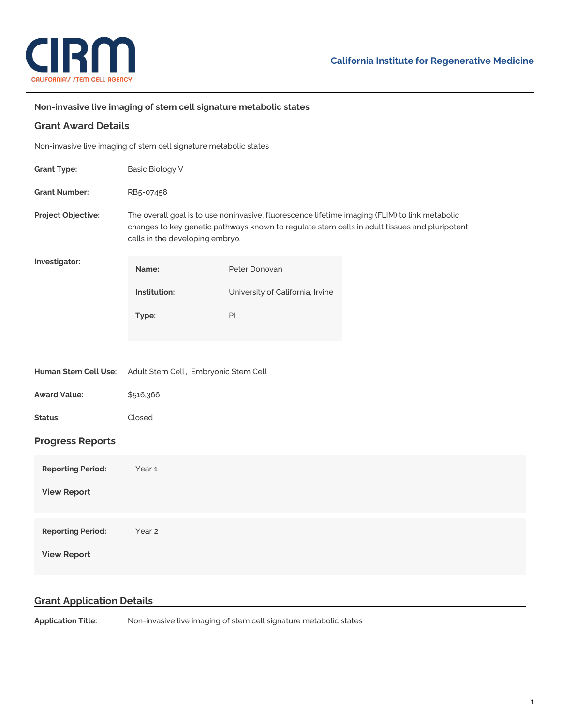

## **Non-invasive live imaging of stem cell signature metabolic states**

| <b>Grant Award Details</b>                                        |                                                                                                                                                                                                                                    |                                  |  |
|-------------------------------------------------------------------|------------------------------------------------------------------------------------------------------------------------------------------------------------------------------------------------------------------------------------|----------------------------------|--|
| Non-invasive live imaging of stem cell signature metabolic states |                                                                                                                                                                                                                                    |                                  |  |
| <b>Grant Type:</b>                                                | <b>Basic Biology V</b>                                                                                                                                                                                                             |                                  |  |
| <b>Grant Number:</b>                                              | RB5-07458                                                                                                                                                                                                                          |                                  |  |
| Project Objective:                                                | The overall goal is to use noninvasive, fluorescence lifetime imaging (FLIM) to link metabolic<br>changes to key genetic pathways known to regulate stem cells in adult tissues and pluripotent<br>cells in the developing embryo. |                                  |  |
| Investigator:                                                     | Name:                                                                                                                                                                                                                              | Peter Donovan                    |  |
|                                                                   | Institution:                                                                                                                                                                                                                       | University of California, Irvine |  |
|                                                                   | Type:                                                                                                                                                                                                                              | PI                               |  |
|                                                                   |                                                                                                                                                                                                                                    |                                  |  |
| Human Stem Cell Use:                                              | Adult Stem Cell, Embryonic Stem Cell                                                                                                                                                                                               |                                  |  |
| <b>Award Value:</b>                                               | \$516,366                                                                                                                                                                                                                          |                                  |  |
| Status:                                                           | Closed                                                                                                                                                                                                                             |                                  |  |
| <b>Progress Reports</b>                                           |                                                                                                                                                                                                                                    |                                  |  |
| <b>Reporting Period:</b>                                          | Year <sub>1</sub>                                                                                                                                                                                                                  |                                  |  |
| <b>View Report</b>                                                |                                                                                                                                                                                                                                    |                                  |  |
| <b>Reporting Period:</b>                                          | Year <sub>2</sub>                                                                                                                                                                                                                  |                                  |  |
| <b>View Report</b>                                                |                                                                                                                                                                                                                                    |                                  |  |
|                                                                   |                                                                                                                                                                                                                                    |                                  |  |

## **Grant Application Details**

**Application Title:** Non-invasive live imaging of stem cell signature metabolic states